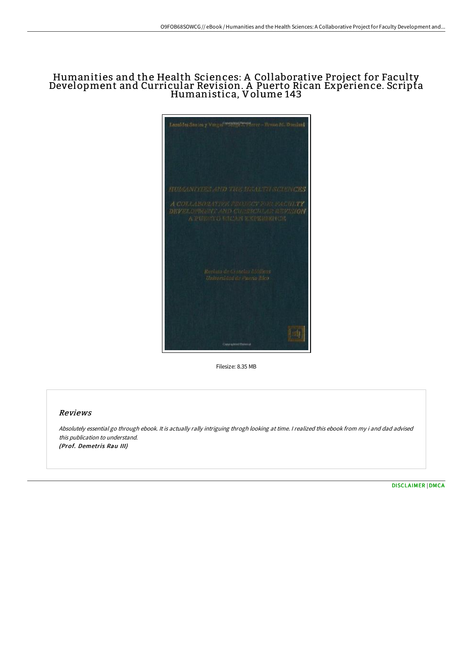## Humanities and the Health Sciences: A Collaborative Project for Faculty Development and Curricular Revision. A Puerto Rican Experience. Scripta Humanistica, Volume 143



Filesize: 8.35 MB

## Reviews

Absolutely essential go through ebook. It is actually rally intriguing throgh looking at time. <sup>I</sup> realized this ebook from my i and dad advised this publication to understand. (Prof. Demetris Rau III)

[DISCLAIMER](http://techno-pub.tech/disclaimer.html) | [DMCA](http://techno-pub.tech/dmca.html)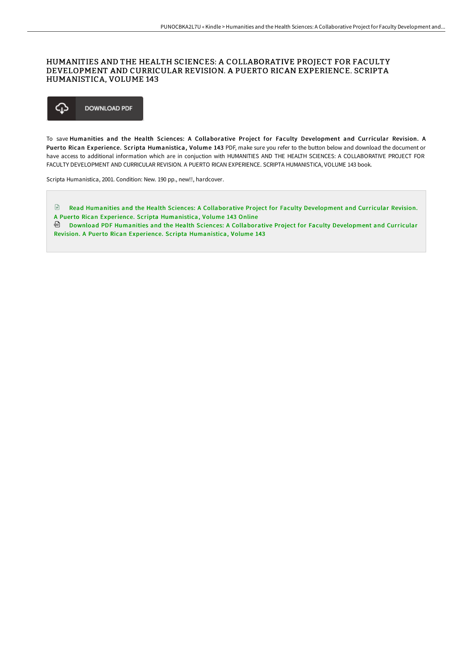## HUMANITIES AND THE HEALTH SCIENCES: A COLLABORATIVE PROJECT FOR FACULTY DEVELOPMENT AND CURRICULAR REVISION. A PUERTO RICAN EXPERIENCE. SCRIPTA HUMANISTICA, VOLUME 143

♤ **DOWNLOAD PDF** 

To save Humanities and the Health Sciences: A Collaborative Project for Faculty Development and Curricular Revision. A Puerto Rican Experience. Scripta Humanistica, Volume 143 PDF, make sure you refer to the button below and download the document or have access to additional information which are in conjuction with HUMANITIES AND THE HEALTH SCIENCES: A COLLABORATIVE PROJECT FOR FACULTY DEVELOPMENT AND CURRICULAR REVISION. A PUERTO RICAN EXPERIENCE. SCRIPTA HUMANISTICA, VOLUME 143 book.

Scripta Humanistica, 2001. Condition: New. 190 pp., new!!, hardcover.

Read Humanities and the Health Sciences: A [Collaborative](http://techno-pub.tech/humanities-and-the-health-sciences-a-collaborati.html) Project for Faculty Development and Curricular Revision. A Puerto Rican Experience. Scripta Humanistica, Volume 143 Online

Download PDF Humanities and the Health Sciences: A [Collaborative](http://techno-pub.tech/humanities-and-the-health-sciences-a-collaborati.html) Project for Faculty Development and Curricular Revision. A Puerto Rican Experience. Scripta Humanistica, Volume 143